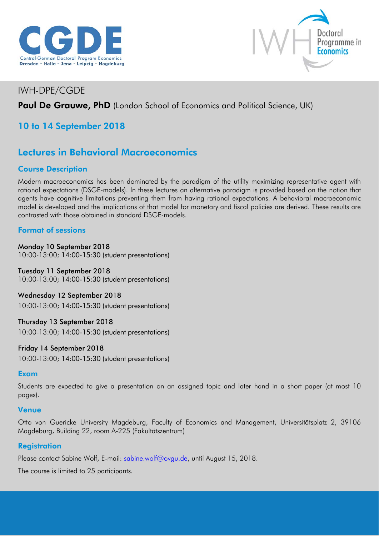



## IWH-DPE/CGDE

## Paul De Grauwe, PhD (London School of Economics and Political Science, UK)

## 10 to 14 September 2018

# Lectures in Behavioral Macroeconomics

## Course Description

Modern macroeconomics has been dominated by the paradigm of the utility maximizing representative agent with rational expectations (DSGE-models). In these lectures an alternative paradigm is provided based on the notion that agents have cognitive limitations preventing them from having rational expectations. A behavioral macroeconomic model is developed and the implications of that model for monetary and fiscal policies are derived. These results are contrasted with those obtained in standard DSGE-models.

### Format of sessions

Monday 10 September 2018 10:00-13:00; 14:00-15:30 (student presentations)

### Tuesday 11 September 2018

10:00-13:00; 14:00-15:30 (student presentations)

Wednesday 12 September 2018 10:00-13:00; 14:00-15:30 (student presentations)

# Thursday 13 September 2018

10:00-13:00; 14:00-15:30 (student presentations)

### Friday 14 September 2018

10:00-13:00; 14:00-15:30 (student presentations)

### Exam

Students are expected to give a presentation on an assigned topic and later hand in a short paper (at most 10 pages).

#### Venue

Otto von Guericke University Magdeburg, Faculty of Economics and Management, Universitätsplatz 2, 39106 Magdeburg, Building 22, room A-225 (Fakultätszentrum)

### **Registration**

Please contact Sabine Wolf, E-mail: [sabine.wolf@ovgu.de,](mailto:sabine.wolf@ovgu.de) until August 15, 2018.

The course is limited to 25 participants.